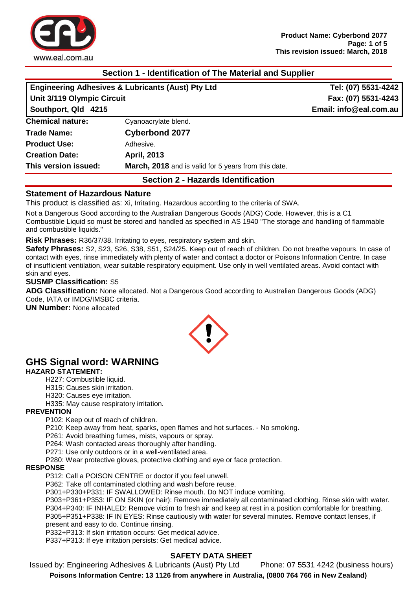

## **Section 1 - Identification of The Material and Supplier**

| <b>Engineering Adhesives &amp; Lubricants (Aust) Pty Ltd</b><br>Unit 3/119 Olympic Circuit<br>Southport, Qld 4215 |                                                      | Tel: (07) 5531-4242                           |                         |
|-------------------------------------------------------------------------------------------------------------------|------------------------------------------------------|-----------------------------------------------|-------------------------|
|                                                                                                                   |                                                      | Fax: (07) 5531-4243<br>Email: info@eal.com.au |                         |
|                                                                                                                   |                                                      |                                               | <b>Chemical nature:</b> |
| <b>Trade Name:</b>                                                                                                | <b>Cyberbond 2077</b>                                |                                               |                         |
| <b>Product Use:</b>                                                                                               | Adhesive.                                            |                                               |                         |
| <b>Creation Date:</b>                                                                                             | <b>April, 2013</b>                                   |                                               |                         |
| This version issued:                                                                                              | March, 2018 and is valid for 5 years from this date. |                                               |                         |
|                                                                                                                   |                                                      |                                               |                         |

## **Section 2 - Hazards Identification**

## **Statement of Hazardous Nature**

This product is classified as: Xi, Irritating. Hazardous according to the criteria of SWA.

Not a Dangerous Good according to the Australian Dangerous Goods (ADG) Code. However, this is a C1 Combustible Liquid so must be stored and handled as specified in AS 1940 "The storage and handling of flammable and combustible liquids."

**Risk Phrases:** R36/37/38. Irritating to eyes, respiratory system and skin.

**Safety Phrases:** S2, S23, S26, S38, S51, S24/25. Keep out of reach of children. Do not breathe vapours. In case of contact with eyes, rinse immediately with plenty of water and contact a doctor or Poisons Information Centre. In case of insufficient ventilation, wear suitable respiratory equipment. Use only in well ventilated areas. Avoid contact with skin and eyes.

#### **SUSMP Classification:** S5

**ADG Classification:** None allocated. Not a Dangerous Good according to Australian Dangerous Goods (ADG) Code, IATA or IMDG/IMSBC criteria.

**UN Number:** None allocated



# **GHS Signal word: WARNING**

#### **HAZARD STATEMENT:**

- H227: Combustible liquid.
- H315: Causes skin irritation.
- H320: Causes eye irritation.
- H335: May cause respiratory irritation.

## **PREVENTION**

P102: Keep out of reach of children.

P210: Keep away from heat, sparks, open flames and hot surfaces. - No smoking.

P261: Avoid breathing fumes, mists, vapours or spray.

P264: Wash contacted areas thoroughly after handling.

P271: Use only outdoors or in a well-ventilated area.

P280: Wear protective gloves, protective clothing and eye or face protection.

#### **RESPONSE**

P312: Call a POISON CENTRE or doctor if you feel unwell.

P362: Take off contaminated clothing and wash before reuse.

P301+P330+P331: IF SWALLOWED: Rinse mouth. Do NOT induce vomiting.

P303+P361+P353: IF ON SKIN (or hair): Remove immediately all contaminated clothing. Rinse skin with water. P304+P340: IF INHALED: Remove victim to fresh air and keep at rest in a position comfortable for breathing. P305+P351+P338: IF IN EYES: Rinse cautiously with water for several minutes. Remove contact lenses, if

present and easy to do. Continue rinsing.

P332+P313: If skin irritation occurs: Get medical advice.

P337+P313: If eye irritation persists: Get medical advice.

## **SAFETY DATA SHEET**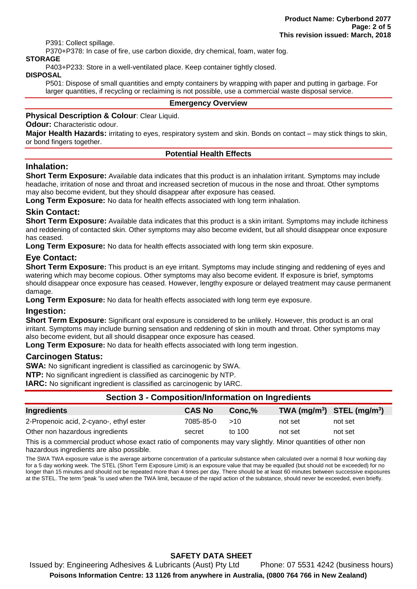P391: Collect spillage.

P370+P378: In case of fire, use carbon dioxide, dry chemical, foam, water fog.

## **STORAGE**

P403+P233: Store in a well-ventilated place. Keep container tightly closed.

#### **DISPOSAL**

P501: Dispose of small quantities and empty containers by wrapping with paper and putting in garbage. For larger quantities, if recycling or reclaiming is not possible, use a commercial waste disposal service.

#### **Emergency Overview**

## **Physical Description & Colour**: Clear Liquid.

**Odour:** Characteristic odour.

**Major Health Hazards:** irritating to eyes, respiratory system and skin. Bonds on contact – may stick things to skin, or bond fingers together.

## **Potential Health Effects**

## **Inhalation:**

**Short Term Exposure:** Available data indicates that this product is an inhalation irritant. Symptoms may include headache, irritation of nose and throat and increased secretion of mucous in the nose and throat. Other symptoms may also become evident, but they should disappear after exposure has ceased.

**Long Term Exposure:** No data for health effects associated with long term inhalation.

## **Skin Contact:**

**Short Term Exposure:** Available data indicates that this product is a skin irritant. Symptoms may include itchiness and reddening of contacted skin. Other symptoms may also become evident, but all should disappear once exposure has ceased.

**Long Term Exposure:** No data for health effects associated with long term skin exposure.

## **Eye Contact:**

**Short Term Exposure:** This product is an eye irritant. Symptoms may include stinging and reddening of eyes and watering which may become copious. Other symptoms may also become evident. If exposure is brief, symptoms should disappear once exposure has ceased. However, lengthy exposure or delayed treatment may cause permanent damage.

**Long Term Exposure:** No data for health effects associated with long term eye exposure.

## **Ingestion:**

**Short Term Exposure:** Significant oral exposure is considered to be unlikely. However, this product is an oral irritant. Symptoms may include burning sensation and reddening of skin in mouth and throat. Other symptoms may also become evident, but all should disappear once exposure has ceased.

**Long Term Exposure:** No data for health effects associated with long term ingestion.

#### **Carcinogen Status:**

**SWA:** No significant ingredient is classified as carcinogenic by SWA.

**NTP:** No significant ingredient is classified as carcinogenic by NTP.

**IARC:** No significant ingredient is classified as carcinogenic by IARC.

# **Section 3 - Composition/Information on Ingredients**

| Ingredients                             | <b>CAS No</b> | $Conc.\%$ | $\mathbf{TWA}$ (mg/m <sup>3</sup> ) STEL (mg/m <sup>3</sup> ) |         |
|-----------------------------------------|---------------|-----------|---------------------------------------------------------------|---------|
| 2-Propenoic acid, 2-cyano-, ethyl ester | 7085-85-0     | >10       | not set                                                       | not set |
| Other non hazardous ingredients         | secret        | to 100    | not set                                                       | not set |

This is a commercial product whose exact ratio of components may vary slightly. Minor quantities of other non hazardous ingredients are also possible.

The SWA TWA exposure value is the average airborne concentration of a particular substance when calculated over a normal 8 hour working day for a 5 day working week. The STEL (Short Term Exposure Limit) is an exposure value that may be equalled (but should not be exceeded) for no longer than 15 minutes and should not be repeated more than 4 times per day. There should be at least 60 minutes between successive exposures at the STEL. The term "peak "is used when the TWA limit, because of the rapid action of the substance, should never be exceeded, even briefly.

## **SAFETY DATA SHEET**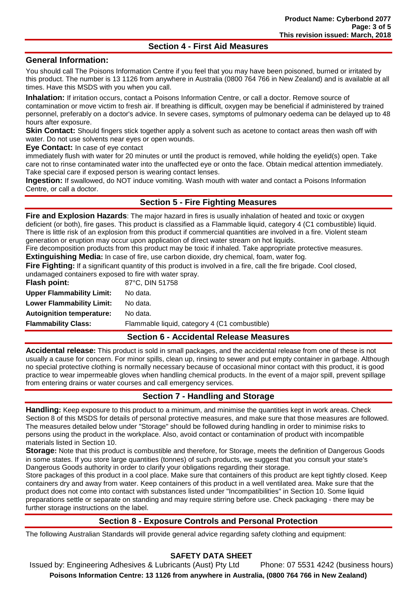## **Section 4 - First Aid Measures**

## **General Information:**

You should call The Poisons Information Centre if you feel that you may have been poisoned, burned or irritated by this product. The number is 13 1126 from anywhere in Australia (0800 764 766 in New Zealand) and is available at all times. Have this MSDS with you when you call.

**Inhalation:** If irritation occurs, contact a Poisons Information Centre, or call a doctor. Remove source of contamination or move victim to fresh air. If breathing is difficult, oxygen may be beneficial if administered by trained personnel, preferably on a doctor's advice. In severe cases, symptoms of pulmonary oedema can be delayed up to 48 hours after exposure.

**Skin Contact:** Should fingers stick together apply a solvent such as acetone to contact areas then wash off with water. Do not use solvents near eyes or open wounds.

**Eye Contact:** In case of eye contact

immediately flush with water for 20 minutes or until the product is removed, while holding the eyelid(s) open. Take care not to rinse contaminated water into the unaffected eye or onto the face. Obtain medical attention immediately. Take special care if exposed person is wearing contact lenses.

**Ingestion:** If swallowed, do NOT induce vomiting. Wash mouth with water and contact a Poisons Information Centre, or call a doctor.

## **Section 5 - Fire Fighting Measures**

**Fire and Explosion Hazards**: The major hazard in fires is usually inhalation of heated and toxic or oxygen deficient (or both), fire gases. This product is classified as a Flammable liquid, category 4 (C1 combustible) liquid. There is little risk of an explosion from this product if commercial quantities are involved in a fire. Violent steam generation or eruption may occur upon application of direct water stream on hot liquids.

Fire decomposition products from this product may be toxic if inhaled. Take appropriate protective measures. **Extinguishing Media:** In case of fire, use carbon dioxide, dry chemical, foam, water fog.

**Fire Fighting:** If a significant quantity of this product is involved in a fire, call the fire brigade. Cool closed, undamaged containers exposed to fire with water spray.

| Flash point:                     | 87°C, DIN 51758                               |
|----------------------------------|-----------------------------------------------|
| <b>Upper Flammability Limit:</b> | No data.                                      |
| <b>Lower Flammability Limit:</b> | No data.                                      |
| <b>Autoignition temperature:</b> | No data.                                      |
| <b>Flammability Class:</b>       | Flammable liquid, category 4 (C1 combustible) |

## **Section 6 - Accidental Release Measures**

**Accidental release:** This product is sold in small packages, and the accidental release from one of these is not usually a cause for concern. For minor spills, clean up, rinsing to sewer and put empty container in garbage. Although no special protective clothing is normally necessary because of occasional minor contact with this product, it is good practice to wear impermeable gloves when handling chemical products. In the event of a major spill, prevent spillage from entering drains or water courses and call emergency services.

## **Section 7 - Handling and Storage**

**Handling:** Keep exposure to this product to a minimum, and minimise the quantities kept in work areas. Check Section 8 of this MSDS for details of personal protective measures, and make sure that those measures are followed. The measures detailed below under "Storage" should be followed during handling in order to minimise risks to persons using the product in the workplace. Also, avoid contact or contamination of product with incompatible materials listed in Section 10.

**Storage:** Note that this product is combustible and therefore, for Storage, meets the definition of Dangerous Goods in some states. If you store large quantities (tonnes) of such products, we suggest that you consult your state's Dangerous Goods authority in order to clarify your obligations regarding their storage.

Store packages of this product in a cool place. Make sure that containers of this product are kept tightly closed. Keep containers dry and away from water. Keep containers of this product in a well ventilated area. Make sure that the product does not come into contact with substances listed under "Incompatibilities" in Section 10. Some liquid preparations settle or separate on standing and may require stirring before use. Check packaging - there may be further storage instructions on the label.

## **Section 8 - Exposure Controls and Personal Protection**

The following Australian Standards will provide general advice regarding safety clothing and equipment:

## **SAFETY DATA SHEET**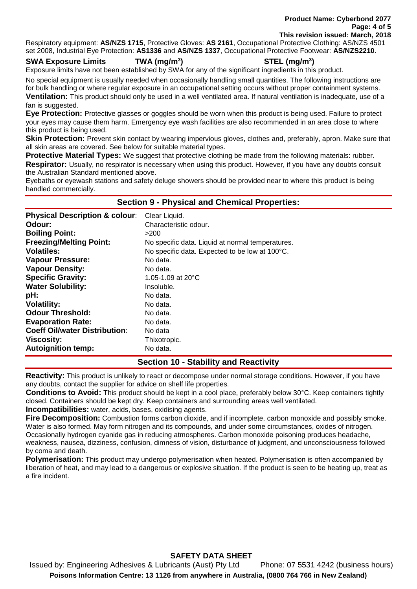**Product Name: Cyberbond 2077 Page: 4 of 5 This revision issued: March, 2018**

Respiratory equipment: **AS/NZS 1715**, Protective Gloves: **AS 2161**, Occupational Protective Clothing: AS/NZS 4501 set 2008, Industrial Eye Protection: **AS1336** and **AS/NZS 1337**, Occupational Protective Footwear: **AS/NZS2210**.

#### **SWA Exposure Limits TWA (mg/m<sup>3</sup>**

**) STEL (mg/m<sup>3</sup> )**

Exposure limits have not been established by SWA for any of the significant ingredients in this product.

No special equipment is usually needed when occasionally handling small quantities. The following instructions are for bulk handling or where regular exposure in an occupational setting occurs without proper containment systems. **Ventilation:** This product should only be used in a well ventilated area. If natural ventilation is inadequate, use of a fan is suggested.

**Eye Protection:** Protective glasses or goggles should be worn when this product is being used. Failure to protect your eyes may cause them harm. Emergency eye wash facilities are also recommended in an area close to where this product is being used.

**Skin Protection:** Prevent skin contact by wearing impervious gloves, clothes and, preferably, apron. Make sure that all skin areas are covered. See below for suitable material types.

**Protective Material Types:** We suggest that protective clothing be made from the following materials: rubber. **Respirator:** Usually, no respirator is necessary when using this product. However, if you have any doubts consult the Australian Standard mentioned above.

Eyebaths or eyewash stations and safety deluge showers should be provided near to where this product is being handled commercially.

## **Section 9 - Physical and Chemical Properties:**

| <b>Physical Description &amp; colour:</b> | Clear Liquid.                                    |
|-------------------------------------------|--------------------------------------------------|
| Odour:                                    | Characteristic odour.                            |
| <b>Boiling Point:</b>                     | >200                                             |
| <b>Freezing/Melting Point:</b>            | No specific data. Liquid at normal temperatures. |
| <b>Volatiles:</b>                         | No specific data. Expected to be low at 100°C.   |
| <b>Vapour Pressure:</b>                   | No data.                                         |
| <b>Vapour Density:</b>                    | No data.                                         |
| <b>Specific Gravity:</b>                  | 1.05-1.09 at $20^{\circ}$ C                      |
| <b>Water Solubility:</b>                  | Insoluble.                                       |
| pH:                                       | No data.                                         |
| <b>Volatility:</b>                        | No data.                                         |
| <b>Odour Threshold:</b>                   | No data.                                         |
| <b>Evaporation Rate:</b>                  | No data.                                         |
| <b>Coeff Oil/water Distribution:</b>      | No data                                          |
| <b>Viscosity:</b>                         | Thixotropic.                                     |
| <b>Autoignition temp:</b>                 | No data.                                         |

## **Section 10 - Stability and Reactivity**

**Reactivity:** This product is unlikely to react or decompose under normal storage conditions. However, if you have any doubts, contact the supplier for advice on shelf life properties.

**Conditions to Avoid:** This product should be kept in a cool place, preferably below 30°C. Keep containers tightly closed. Containers should be kept dry. Keep containers and surrounding areas well ventilated.

**Incompatibilities:** water, acids, bases, oxidising agents.

**Fire Decomposition:** Combustion forms carbon dioxide, and if incomplete, carbon monoxide and possibly smoke. Water is also formed. May form nitrogen and its compounds, and under some circumstances, oxides of nitrogen. Occasionally hydrogen cyanide gas in reducing atmospheres. Carbon monoxide poisoning produces headache, weakness, nausea, dizziness, confusion, dimness of vision, disturbance of judgment, and unconsciousness followed by coma and death.

**Polymerisation:** This product may undergo polymerisation when heated. Polymerisation is often accompanied by liberation of heat, and may lead to a dangerous or explosive situation. If the product is seen to be heating up, treat as a fire incident.

## **SAFETY DATA SHEET**